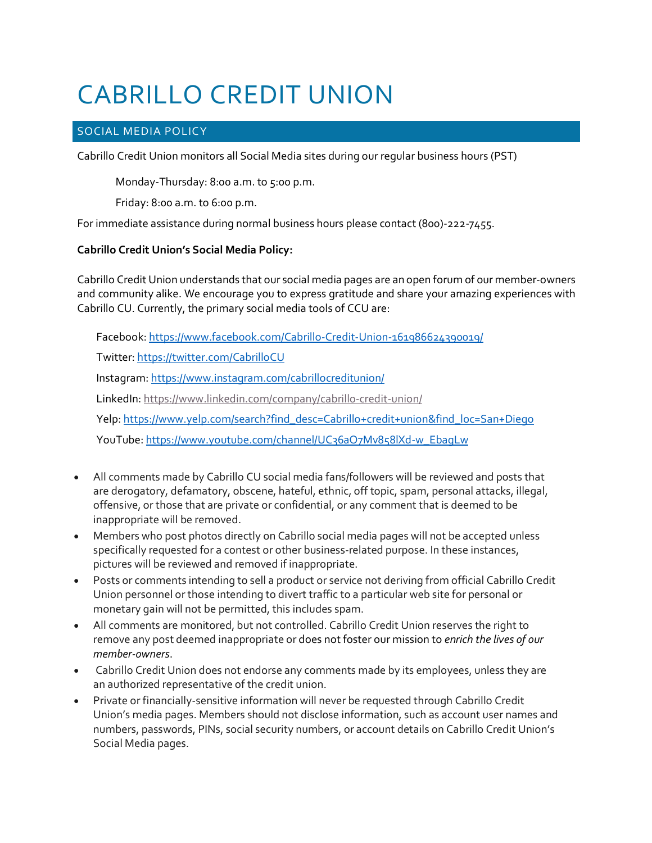## CABRILLO CREDIT UNION

## SOCIAL MEDIA POLICY

Cabrillo Credit Union monitors all Social Media sites during our regular business hours (PST)

Monday-Thursday: 8:00 a.m. to 5:00 p.m.

Friday: 8:00 a.m. to 6:00 p.m.

For immediate assistance during normal business hours please contact (800)-222-7455.

## **Cabrillo Credit Union's Social Media Policy:**

Cabrillo Credit Union understands that our social media pages are an open forum of our member-owners and community alike. We encourage you to express gratitude and share your amazing experiences with Cabrillo CU. Currently, the primary social media tools of CCU are:

Facebook: https://www.facebook.com/Cabrillo-Credit-Union-161986624390019/

Twitter: https://twitter.com/CabrilloCU

Instagram: https://www.instagram.com/cabrillocreditunion/

LinkedIn: https://www.linkedin.com/company/cabrillo-credit-union/

Yelp: https://www.yelp.com/search?find\_desc=Cabrillo+credit+union&find\_loc=San+Diego

YouTube: https://www.youtube.com/channel/UC36aO7Mv858lXd-w\_EbagLw

- All comments made by Cabrillo CU social media fans/followers will be reviewed and posts that are derogatory, defamatory, obscene, hateful, ethnic, off topic, spam, personal attacks, illegal, offensive, or those that are private or confidential, or any comment that is deemed to be inappropriate will be removed.
- Members who post photos directly on Cabrillo social media pages will not be accepted unless specifically requested for a contest or other business-related purpose. In these instances, pictures will be reviewed and removed if inappropriate.
- Posts or comments intending to sell a product or service not deriving from official Cabrillo Credit Union personnel or those intending to divert traffic to a particular web site for personal or monetary gain will not be permitted, this includes spam.
- All comments are monitored, but not controlled. Cabrillo Credit Union reserves the right to remove any post deemed inappropriate or does not foster our mission to *enrich the lives of our member-owners*.
- Cabrillo Credit Union does not endorse any comments made by its employees, unless they are an authorized representative of the credit union.
- Private or financially-sensitive information will never be requested through Cabrillo Credit Union's media pages. Members should not disclose information, such as account user names and numbers, passwords, PINs, social security numbers, or account details on Cabrillo Credit Union's Social Media pages.